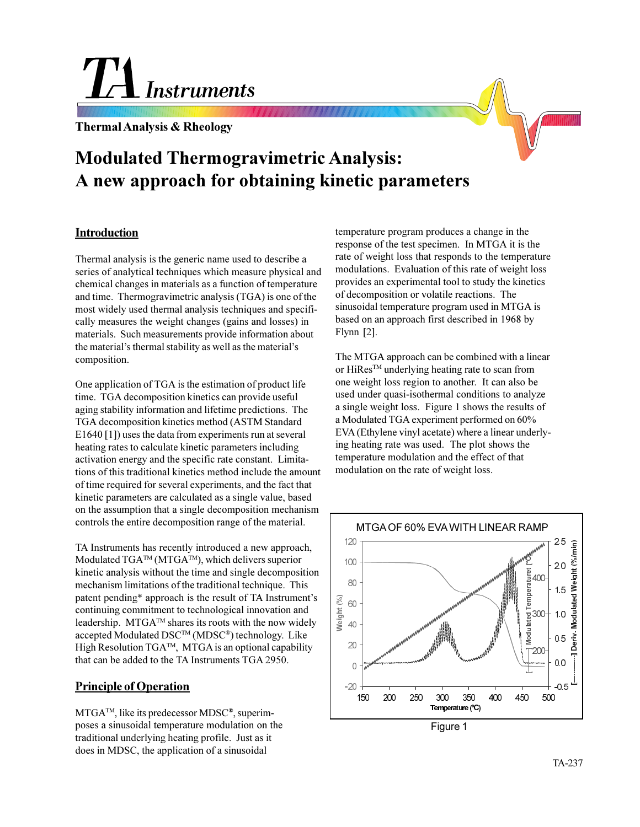# **Instruments**

**Thermal Analysis & Rheology**

# **Modulated Thermogravimetric Analysis: A new approach for obtaining kinetic parameters**

#### **Introduction**

Thermal analysis is the generic name used to describe a series of analytical techniques which measure physical and chemical changes in materials as a function of temperature and time. Thermogravimetric analysis (TGA) is one of the most widely used thermal analysis techniques and specifically measures the weight changes (gains and losses) in materials. Such measurements provide information about the material's thermal stability as well as the material's composition.

One application of TGA is the estimation of product life time. TGA decomposition kinetics can provide useful aging stability information and lifetime predictions. The TGA decomposition kinetics method (ASTM Standard E1640 [1]) uses the data from experiments run at several heating rates to calculate kinetic parameters including activation energy and the specific rate constant. Limitations of this traditional kinetics method include the amount of time required for several experiments, and the fact that kinetic parameters are calculated as a single value, based on the assumption that a single decomposition mechanism controls the entire decomposition range of the material.

TA Instruments has recently introduced a new approach, Modulated  $TGA^{TM}$  (MTGA<sup>TM</sup>), which delivers superior kinetic analysis without the time and single decomposition mechanism limitations of the traditional technique. This patent pending\* approach is the result of TA Instrument's continuing commitment to technological innovation and leadership.  $MTGA^{TM}$  shares its roots with the now widely accepted Modulated DSCTM (MDSC®) technology. Like High Resolution  $TGA^{TM}$ , MTGA is an optional capability that can be added to the TA Instruments TGA 2950.

# **Principle of Operation**

MTGATM, like its predecessor MDSC®, superimposes a sinusoidal temperature modulation on the traditional underlying heating profile. Just as it does in MDSC, the application of a sinusoidal

temperature program produces a change in the response of the test specimen. In MTGA it is the rate of weight loss that responds to the temperature modulations. Evaluation of this rate of weight loss provides an experimental tool to study the kinetics of decomposition or volatile reactions. The sinusoidal temperature program used in MTGA is based on an approach first described in 1968 by Flynn [2].

The MTGA approach can be combined with a linear or HiRes<sup>™</sup> underlying heating rate to scan from one weight loss region to another. It can also be used under quasi-isothermal conditions to analyze a single weight loss. Figure 1 shows the results of a Modulated TGA experiment performed on 60% EVA (Ethylene vinyl acetate) where a linear underlying heating rate was used. The plot shows the temperature modulation and the effect of that modulation on the rate of weight loss.